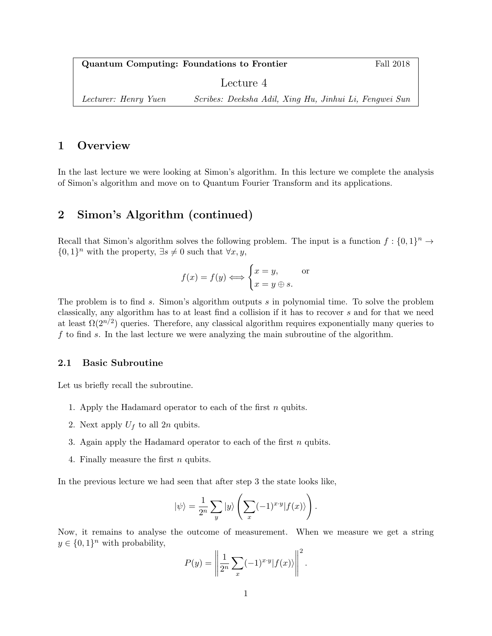Quantum Computing: Foundations to Frontier Fall 2018 Lecture 4 Lecturer: Henry Yuen Scribes: Deeksha Adil, Xing Hu, Jinhui Li, Fengwei Sun

# 1 Overview

In the last lecture we were looking at Simon's algorithm. In this lecture we complete the analysis of Simon's algorithm and move on to Quantum Fourier Transform and its applications.

# 2 Simon's Algorithm (continued)

Recall that Simon's algorithm solves the following problem. The input is a function  $f: \{0,1\}^n \to$  $\{0,1\}^n$  with the property,  $\exists s \neq 0$  such that  $\forall x, y$ ,

$$
f(x) = f(y) \Longleftrightarrow \begin{cases} x = y, & \text{or} \\ x = y \oplus s. \end{cases}
$$

The problem is to find s. Simon's algorithm outputs s in polynomial time. To solve the problem classically, any algorithm has to at least find a collision if it has to recover s and for that we need at least  $\Omega(2^{n/2})$  queries. Therefore, any classical algorithm requires exponentially many queries to  $f$  to find  $s$ . In the last lecture we were analyzing the main subroutine of the algorithm.

#### 2.1 Basic Subroutine

Let us briefly recall the subroutine.

- 1. Apply the Hadamard operator to each of the first  $n$  qubits.
- 2. Next apply  $U_f$  to all  $2n$  qubits.
- 3. Again apply the Hadamard operator to each of the first  $n$  qubits.
- 4. Finally measure the first n qubits.

In the previous lecture we had seen that after step 3 the state looks like,

$$
|\psi\rangle = \frac{1}{2^n} \sum_{y} |y\rangle \left( \sum_{x} (-1)^{x \cdot y} |f(x)\rangle \right).
$$

Now, it remains to analyse the outcome of measurement. When we measure we get a string  $y \in \{0,1\}^n$  with probability,

$$
P(y) = \left\| \frac{1}{2^n} \sum_{x} (-1)^{x \cdot y} |f(x)\rangle \right\|^2.
$$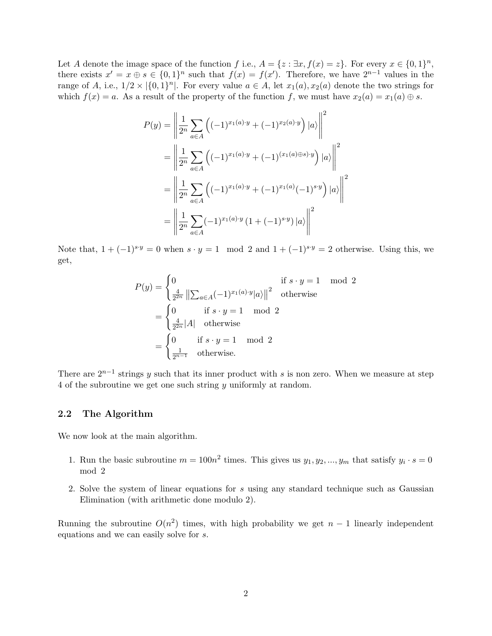Let A denote the image space of the function f i.e.,  $A = \{z : \exists x, f(x) = z\}$ . For every  $x \in \{0, 1\}^n$ , there exists  $x' = x \oplus s \in \{0,1\}^n$  such that  $f(x) = f(x')$ . Therefore, we have  $2^{n-1}$  values in the range of A, i.e.,  $1/2 \times |\{0,1\}^n|$ . For every value  $a \in A$ , let  $x_1(a), x_2(a)$  denote the two strings for which  $f(x) = a$ . As a result of the property of the function f, we must have  $x_2(a) = x_1(a) \oplus s$ .

$$
P(y) = \left\| \frac{1}{2^n} \sum_{a \in A} \left( (-1)^{x_1(a) \cdot y} + (-1)^{x_2(a) \cdot y} \right) |a\rangle \right\|^2
$$
  
= 
$$
\left\| \frac{1}{2^n} \sum_{a \in A} \left( (-1)^{x_1(a) \cdot y} + (-1)^{(x_1(a) \oplus s) \cdot y} \right) |a\rangle \right\|^2
$$
  
= 
$$
\left\| \frac{1}{2^n} \sum_{a \in A} \left( (-1)^{x_1(a) \cdot y} + (-1)^{x_1(a)} (-1)^{s \cdot y} \right) |a\rangle \right\|^2
$$
  
= 
$$
\left\| \frac{1}{2^n} \sum_{a \in A} (-1)^{x_1(a) \cdot y} (1 + (-1)^{s \cdot y}) |a\rangle \right\|^2
$$

Note that,  $1 + (-1)^{s \cdot y} = 0$  when  $s \cdot y = 1 \mod 2$  and  $1 + (-1)^{s \cdot y} = 2$  otherwise. Using this, we get,

$$
P(y) = \begin{cases} 0 & \text{if } s \cdot y = 1 \mod 2\\ \frac{4}{2^{2n}} \left\| \sum_{a \in A} (-1)^{x_1(a)} y|a \right\|^2 & \text{otherwise} \end{cases}
$$

$$
= \begin{cases} 0 & \text{if } s \cdot y = 1 \mod 2\\ \frac{4}{2^{2n}} |A| & \text{otherwise} \end{cases}
$$

$$
= \begin{cases} 0 & \text{if } s \cdot y = 1 \mod 2\\ \frac{1}{2^{n-1}} & \text{otherwise.} \end{cases}
$$

There are  $2^{n-1}$  strings y such that its inner product with s is non zero. When we measure at step 4 of the subroutine we get one such string y uniformly at random.

#### 2.2 The Algorithm

We now look at the main algorithm.

- 1. Run the basic subroutine  $m = 100n^2$  times. This gives us  $y_1, y_2, ..., y_m$  that satisfy  $y_i \cdot s = 0$ mod 2
- 2. Solve the system of linear equations for s using any standard technique such as Gaussian Elimination (with arithmetic done modulo 2).

Running the subroutine  $O(n^2)$  times, with high probability we get  $n-1$  linearly independent equations and we can easily solve for s.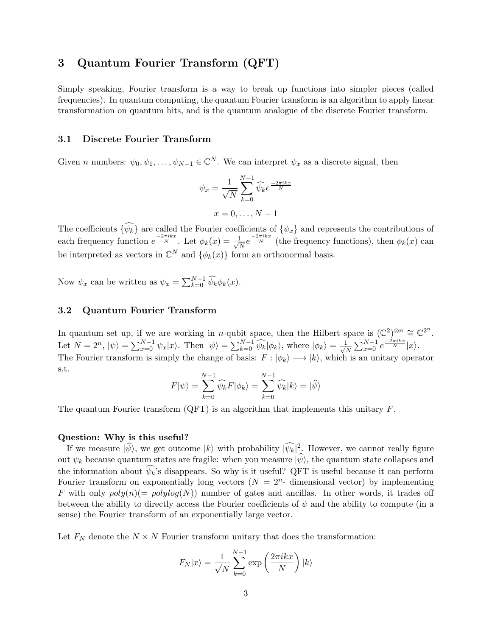# 3 Quantum Fourier Transform (QFT)

Simply speaking, Fourier transform is a way to break up functions into simpler pieces (called frequencies). In quantum computing, the quantum Fourier transform is an algorithm to apply linear transformation on quantum bits, and is the quantum analogue of the discrete Fourier transform.

#### 3.1 Discrete Fourier Transform

Given *n* numbers:  $\psi_0, \psi_1, \dots, \psi_{N-1} \in \mathbb{C}^N$ . We can interpret  $\psi_x$  as a discrete signal, then

$$
\psi_x = \frac{1}{\sqrt{N}} \sum_{k=0}^{N-1} \widehat{\psi}_k e^{\frac{-2\pi ikx}{N}}
$$

$$
x = 0, \dots, N-1
$$

The coefficients  $\{\psi_k\}$  are called the Fourier coefficients of  $\{\psi_x\}$  and represents the contributions of each frequency function  $e^{\frac{-2\pi ikx}{N}}$ . Let  $\phi_k(x) = \frac{1}{\sqrt{2}}$  $\frac{1}{N}e^{\frac{-2\pi ikx}{N}}$  (the frequency functions), then  $\phi_k(x)$  can be interpreted as vectors in  $\mathbb{C}^N$  and  $\{\phi_k(x)\}\)$  form an orthonormal basis.

Now  $\psi_x$  can be written as  $\psi_x = \sum_{k=0}^{N-1} \widehat{\psi}_k \phi_k(x)$ .

#### 3.2 Quantum Fourier Transform

In quantum set up, if we are working in *n*-qubit space, then the Hilbert space is  $(\mathbb{C}^2)^{\otimes n} \cong \mathbb{C}^{2^n}$ . Let  $N = 2^n$ ,  $|\psi\rangle = \sum_{x=0}^{N-1} \psi_x |x\rangle$ . Then  $|\psi\rangle = \sum_{k=0}^{N-1} \widehat{\psi_k} |\phi_k\rangle$ , where  $|\phi_k\rangle = \frac{1}{\sqrt{N}}$  $\frac{1}{N} \sum_{x=0}^{N-1} e^{\frac{-2\pi i k x}{N}} |x\rangle.$ The Fourier transform is simply the change of basis:  $F : |\phi_k\rangle \longrightarrow |k\rangle$ , which is an unitary operator s.t.

$$
F|\psi\rangle = \sum_{k=0}^{N-1} \widehat{\psi_k} F|\phi_k\rangle = \sum_{k=0}^{N-1} \widehat{\psi_k}|k\rangle = |\widehat{\psi}\rangle
$$

The quantum Fourier transform  $(QFT)$  is an algorithm that implements this unitary  $F$ .

#### Question: Why is this useful?

If we measure  $|\hat{\psi}\rangle$ , we get outcome  $|k\rangle$  with probability  $|\hat{\psi}_k|^2$ . However, we cannot really figure out  $\psi_k$  because quantum states are fragile: when you measure  $|\hat{\psi}\rangle$ , the quantum state collapses and the information about  $\psi_k$ 's disappears. So why is it useful? QFT is useful because it can perform Fourier transform on exponentially long vectors  $(N = 2<sup>n</sup>$ -dimensional vector) by implementing F with only  $poly(n)$  =  $polylog(N)$  number of gates and ancillas. In other words, it trades off between the ability to directly access the Fourier coefficients of  $\psi$  and the ability to compute (in a sense) the Fourier transform of an exponentially large vector.

Let  $F_N$  denote the  $N \times N$  Fourier transform unitary that does the transformation:

$$
F_N|x\rangle = \frac{1}{\sqrt{N}} \sum_{k=0}^{N-1} \exp\left(\frac{2\pi ikx}{N}\right) |k\rangle
$$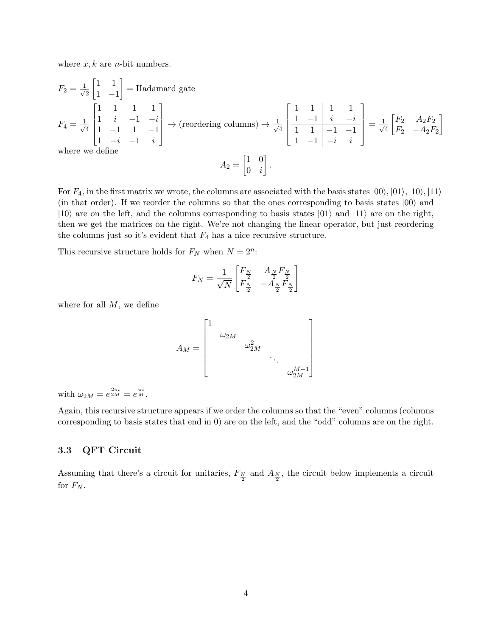where  $x, k$  are *n*-bit numbers.

$$
F_2 = \frac{1}{\sqrt{2}} \begin{bmatrix} 1 & 1 \\ 1 & -1 \end{bmatrix} = \text{Hadamard gate}
$$
  
\n
$$
F_4 = \frac{1}{\sqrt{4}} \begin{bmatrix} 1 & 1 & 1 & 1 \\ 1 & i & -1 & -i \\ 1 & -1 & 1 & -1 \\ 1 & -i & -1 & i \end{bmatrix} \rightarrow \text{(reordering columns)} \rightarrow \frac{1}{\sqrt{4}} \begin{bmatrix} 1 & 1 & 1 & 1 \\ 1 & -1 & i & -i \\ 1 & 1 & -1 & -1 \\ 1 & -1 & -i & i \end{bmatrix} = \frac{1}{\sqrt{4}} \begin{bmatrix} F_2 & A_2 F_2 \\ F_2 & -A_2 F_2 \end{bmatrix}
$$
  
\nwhere we define  
\n
$$
A_2 = \begin{bmatrix} 1 & 0 \\ 0 & i \end{bmatrix}.
$$

For  $F_4$ , in the first matrix we wrote, the columns are associated with the basis states  $|00\rangle, |01\rangle, |10\rangle, |11\rangle$ (in that order). If we reorder the columns so that the ones corresponding to basis states  $|00\rangle$  and  $|10\rangle$  are on the left, and the columns corresponding to basis states  $|01\rangle$  and  $|11\rangle$  are on the right, then we get the matrices on the right. We're not changing the linear operator, but just reordering the columns just so it's evident that  $F_4$  has a nice recursive structure.

This recursive structure holds for  $F_N$  when  $N = 2^n$ :

$$
F_N = \frac{1}{\sqrt{N}} \begin{bmatrix} F_{\frac{N}{2}} & A_{\frac{N}{2}} F_{\frac{N}{2}} \\ F_{\frac{N}{2}} & -A_{\frac{N}{2}} F_{\frac{N}{2}} \end{bmatrix}
$$

where for all  $M$ , we define

$$
A_M = \begin{bmatrix} 1 & & & & & \\ & \omega_{2M} & & & & \\ & & \omega_{2M}^2 & & & \\ & & & \ddots & & \\ & & & & \omega_{2M}^{M-1} \end{bmatrix}
$$

with  $\omega_{2M} = e^{\frac{2\pi i}{2M}} = e^{\frac{\pi i}{M}}$ .

Again, this recursive structure appears if we order the columns so that the "even" columns (columns corresponding to basis states that end in 0) are on the left, and the "odd" columns are on the right.

### 3.3 QFT Circuit

Assuming that there's a circuit for unitaries,  $F_{\frac{N}{2}}$  and  $A_{\frac{N}{2}}$ , the circuit below implements a circuit for  $F_N$ .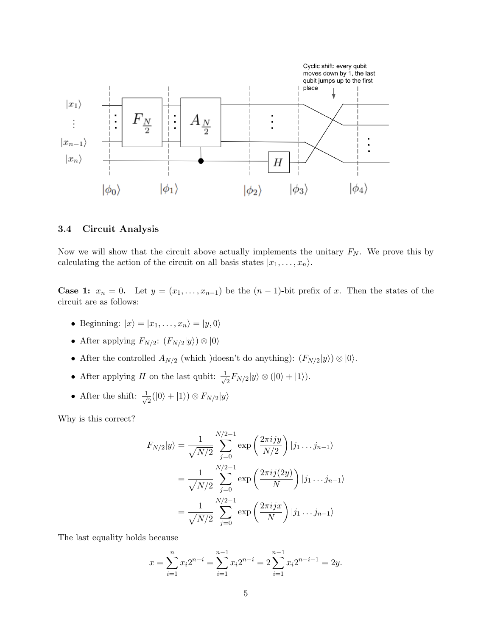

## 3.4 Circuit Analysis

Now we will show that the circuit above actually implements the unitary  $F_N$ . We prove this by calculating the action of the circuit on all basis states  $|x_1, \ldots, x_n\rangle$ .

**Case 1:**  $x_n = 0$ . Let  $y = (x_1, \ldots, x_{n-1})$  be the  $(n-1)$ -bit prefix of x. Then the states of the circuit are as follows:

- Beginning:  $|x\rangle = |x_1, \ldots, x_n\rangle = |y, 0\rangle$
- After applying  $F_{N/2}$ :  $(F_{N/2}|y\rangle) \otimes |0\rangle$
- After the controlled  $A_{N/2}$  (which )doesn't do anything):  $(F_{N/2}|y\rangle) \otimes |0\rangle$ .
- After applying H on the last qubit:  $\frac{1}{\sqrt{2}}$  $\frac{1}{2}F_{N/2}|y\rangle \otimes (|0\rangle + |1\rangle).$
- After the shift:  $\frac{1}{4}$  $\frac{1}{2}(|0\rangle+|1\rangle)\otimes F_{N/2}|y\rangle$

Why is this correct?

$$
F_{N/2}|y\rangle = \frac{1}{\sqrt{N/2}} \sum_{j=0}^{N/2-1} \exp\left(\frac{2\pi i jy}{N/2}\right) |j_1 \dots j_{n-1}\rangle
$$
  
= 
$$
\frac{1}{\sqrt{N/2}} \sum_{j=0}^{N/2-1} \exp\left(\frac{2\pi i j(2y)}{N}\right) |j_1 \dots j_{n-1}\rangle
$$
  
= 
$$
\frac{1}{\sqrt{N/2}} \sum_{j=0}^{N/2-1} \exp\left(\frac{2\pi i jx}{N}\right) |j_1 \dots j_{n-1}\rangle
$$

The last equality holds because

$$
x = \sum_{i=1}^{n} x_i 2^{n-i} = \sum_{i=1}^{n-1} x_i 2^{n-i} = 2 \sum_{i=1}^{n-1} x_i 2^{n-i-1} = 2y.
$$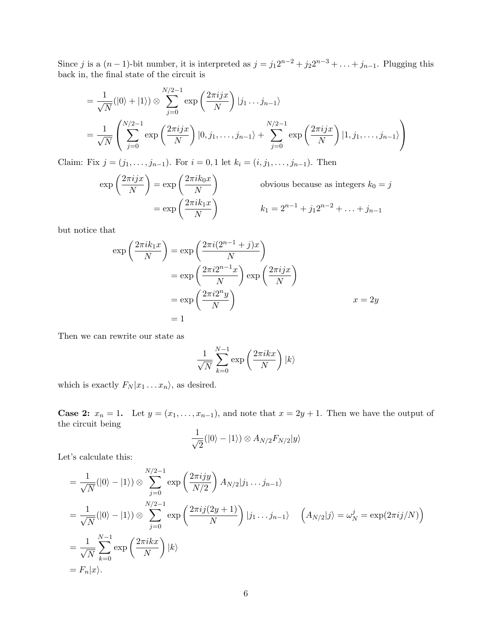Since j is a  $(n-1)$ -bit number, it is interpreted as  $j = j_1 2^{n-2} + j_2 2^{n-3} + \ldots + j_{n-1}$ . Plugging this back in, the final state of the circuit is

$$
= \frac{1}{\sqrt{N}}(|0\rangle + |1\rangle) \otimes \sum_{j=0}^{N/2-1} \exp\left(\frac{2\pi i jx}{N}\right) |j_1 \dots j_{n-1}\rangle
$$
  
= 
$$
\frac{1}{\sqrt{N}} \left( \sum_{j=0}^{N/2-1} \exp\left(\frac{2\pi i jx}{N}\right) |0, j_1, \dots, j_{n-1}\rangle + \sum_{j=0}^{N/2-1} \exp\left(\frac{2\pi i jx}{N}\right) |1, j_1, \dots, j_{n-1}\rangle \right)
$$

Claim: Fix  $j = (j_1, \ldots, j_{n-1})$ . For  $i = 0, 1$  let  $k_i = (i, j_1, \ldots, j_{n-1})$ . Then

$$
\exp\left(\frac{2\pi i jx}{N}\right) = \exp\left(\frac{2\pi i k_0 x}{N}\right) \qquad \text{obvious because as integers } k_0 = j
$$

$$
= \exp\left(\frac{2\pi i k_1 x}{N}\right) \qquad k_1 = 2^{n-1} + j_1 2^{n-2} + \dots + j_{n-1}
$$

but notice that

$$
\exp\left(\frac{2\pi i k_1 x}{N}\right) = \exp\left(\frac{2\pi i (2^{n-1} + j)x}{N}\right)
$$

$$
= \exp\left(\frac{2\pi i 2^{n-1} x}{N}\right) \exp\left(\frac{2\pi i j x}{N}\right)
$$

$$
= \exp\left(\frac{2\pi i 2^n y}{N}\right)
$$

$$
= 1
$$

Then we can rewrite our state as

$$
\frac{1}{\sqrt{N}}\sum_{k=0}^{N-1}\exp\left(\frac{2\pi ikx}{N}\right)|k\rangle
$$

which is exactly  $F_N |x_1 \dots x_n\rangle$ , as desired.

**Case 2:**  $x_n = 1$ . Let  $y = (x_1, \ldots, x_{n-1})$ , and note that  $x = 2y + 1$ . Then we have the output of the circuit being

$$
\frac{1}{\sqrt{2}}(|0\rangle - |1\rangle) \otimes A_{N/2} F_{N/2}|y\rangle
$$

Let's calculate this:

$$
= \frac{1}{\sqrt{N}}(|0\rangle - |1\rangle) \otimes \sum_{j=0}^{N/2-1} \exp\left(\frac{2\pi i jy}{N/2}\right) A_{N/2}|j_1 \dots j_{n-1}\rangle
$$
  
\n
$$
= \frac{1}{\sqrt{N}}(|0\rangle - |1\rangle) \otimes \sum_{j=0}^{N/2-1} \exp\left(\frac{2\pi i j(2y+1)}{N}\right) |j_1 \dots j_{n-1}\rangle \quad \left(A_{N/2}|j\rangle = \omega_N^j = \exp(2\pi i j/N)\right)
$$
  
\n
$$
= \frac{1}{\sqrt{N}} \sum_{k=0}^{N-1} \exp\left(\frac{2\pi i kx}{N}\right) |k\rangle
$$
  
\n
$$
= F_n|x\rangle.
$$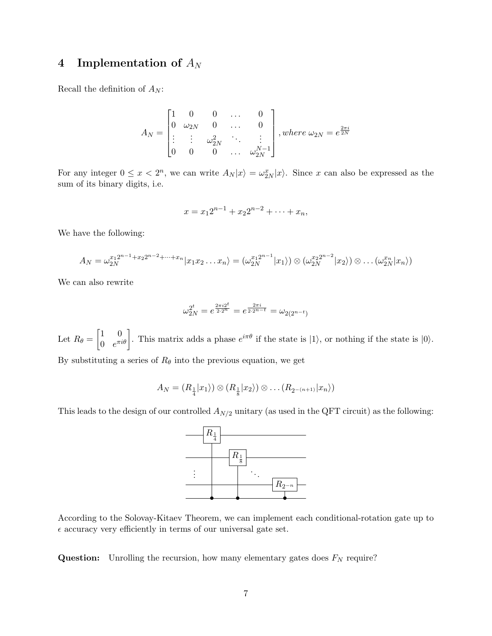# 4 Implementation of  $A_N$

Recall the definition of  $\mathcal{A}_N$  :

$$
A_N = \begin{bmatrix} 1 & 0 & 0 & \dots & 0 \\ 0 & \omega_{2N} & 0 & \dots & 0 \\ \vdots & \vdots & \omega_{2N}^2 & \ddots & \vdots \\ 0 & 0 & 0 & \dots & \omega_{2N}^{N-1} \end{bmatrix}, where \ \omega_{2N} = e^{\frac{2\pi i}{2N}}
$$

For any integer  $0 \le x < 2^n$ , we can write  $A_N|x\rangle = \omega_{2N}^x|x\rangle$ . Since x can also be expressed as the sum of its binary digits, i.e.

$$
x = x_1 2^{n-1} + x_2 2^{n-2} + \dots + x_n,
$$

We have the following:

$$
A_N = \omega_{2N}^{x_1 2^{n-1}+x_2 2^{n-2}+\cdots+x_n} |x_1 x_2 \ldots x_n\rangle = (\omega_{2N}^{x_1 2^{n-1}} |x_1\rangle) \otimes (\omega_{2N}^{x_2 2^{n-2}} |x_2\rangle) \otimes \ldots (\omega_{2N}^{x_n} |x_n\rangle)
$$

We can also rewrite

$$
\omega_{2N}^{2^t} = e^{\frac{2\pi i 2^t}{2 \cdot 2^n}} = e^{\frac{2\pi i}{2 \cdot 2^{n-t}}} = \omega_{2(2^{n-t})}
$$

Let  $R_{\theta} = \begin{bmatrix} 1 & 0 \\ 0 & e^{\pi i} \end{bmatrix}$  $\begin{bmatrix} 1 & 0 \\ 0 & e^{\pi i \theta} \end{bmatrix}$ . This matrix adds a phase  $e^{i\pi \theta}$  if the state is  $|1\rangle$ , or nothing if the state is  $|0\rangle$ .

By substituting a series of  $R_{\theta}$  into the previous equation, we get

$$
A_N = (R_{\frac{1}{4}}|x_1\rangle) \otimes (R_{\frac{1}{8}}|x_2\rangle) \otimes \ldots (R_{2^{-(n+1)}}|x_n\rangle)
$$

This leads to the design of our controlled  $A_{N/2}$  unitary (as used in the QFT circuit) as the following:



According to the Solovay-Kitaev Theorem, we can implement each conditional-rotation gate up to  $\epsilon$  accuracy very efficiently in terms of our universal gate set.

**Question:** Unrolling the recursion, how many elementary gates does  $F_N$  require?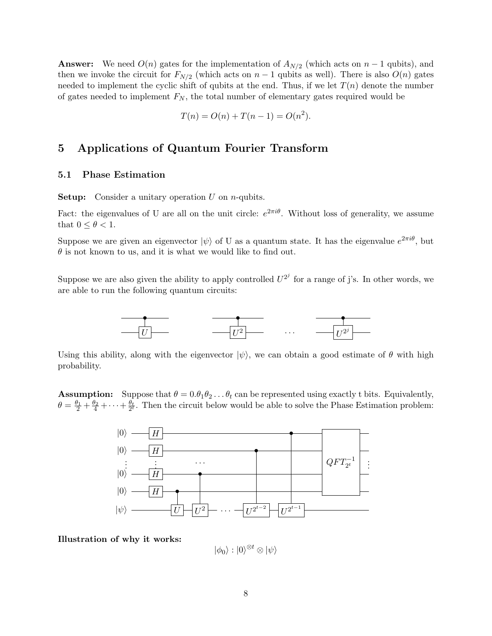**Answer:** We need  $O(n)$  gates for the implementation of  $A_{N/2}$  (which acts on  $n-1$  qubits), and then we invoke the circuit for  $F_{N/2}$  (which acts on  $n-1$  qubits as well). There is also  $O(n)$  gates needed to implement the cyclic shift of qubits at the end. Thus, if we let  $T(n)$  denote the number of gates needed to implement  $F_N$ , the total number of elementary gates required would be

$$
T(n) = O(n) + T(n-1) = O(n^2).
$$

## 5 Applications of Quantum Fourier Transform

## 5.1 Phase Estimation

**Setup:** Consider a unitary operation  $U$  on *n*-qubits.

Fact: the eigenvalues of U are all on the unit circle:  $e^{2\pi i\theta}$ . Without loss of generality, we assume that  $0 \leq \theta < 1$ .

Suppose we are given an eigenvector  $|\psi\rangle$  of U as a quantum state. It has the eigenvalue  $e^{2\pi i\theta}$ , but  $\theta$  is not known to us, and it is what we would like to find out.

Suppose we are also given the ability to apply controlled  $U^{2^j}$  for a range of j's. In other words, we are able to run the following quantum circuits:



Using this ability, along with the eigenvector  $|\psi\rangle$ , we can obtain a good estimate of  $\theta$  with high probability.

**Assumption:** Suppose that  $\theta = 0.\theta_1\theta_2\ldots\theta_t$  can be represented using exactly t bits. Equivalently,  $\theta = \frac{\theta_1}{2} + \frac{\theta_2}{4} + \cdots + \frac{\theta_t}{2^t}$ . Then the circuit below would be able to solve the Phase Estimation problem:



Illustration of why it works:

 $|\phi_0\rangle : |0\rangle^{\otimes t} \otimes |\psi\rangle$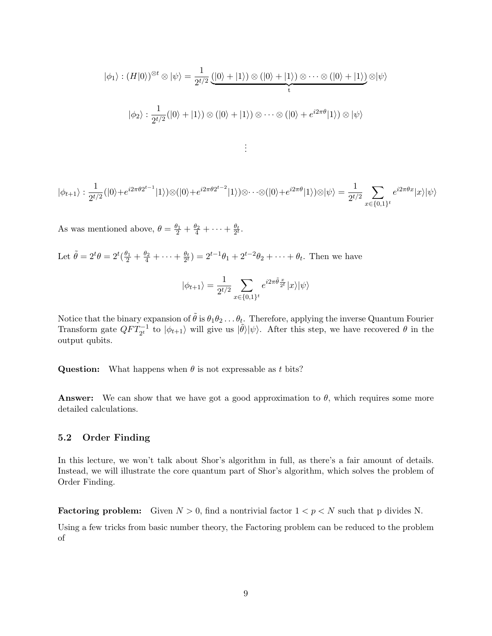$$
|\phi_1\rangle : (H|0\rangle)^{\otimes t} \otimes |\psi\rangle = \frac{1}{2^{t/2}} \underbrace{(|0\rangle + |1\rangle) \otimes (|0\rangle + |1\rangle) \otimes \cdots \otimes (|0\rangle + |1\rangle)}_{t} \otimes |\psi\rangle
$$

$$
|\phi_2\rangle : \frac{1}{2^{t/2}} (|0\rangle + |1\rangle) \otimes (|0\rangle + |1\rangle) \otimes \cdots \otimes (|0\rangle + e^{i2\pi\theta} |1\rangle) \otimes |\psi\rangle
$$

. . .

$$
|\phi_{t+1}\rangle:\frac{1}{2^{t/2}}(|0\rangle+e^{i2\pi\theta2^{t-1}}|1\rangle)\otimes(|0\rangle+e^{i2\pi\theta2^{t-2}}|1\rangle)\otimes\cdots\otimes(|0\rangle+e^{i2\pi\theta}|1\rangle)\otimes|\psi\rangle=\frac{1}{2^{t/2}}\sum_{x\in\{0,1\}^t}e^{i2\pi\theta x}|x\rangle|\psi\rangle
$$

As was mentioned above,  $\theta = \frac{\theta_1}{2} + \frac{\theta_2}{4} + \cdots + \frac{\theta_t}{2^t}$ .

Let  $\tilde{\theta} = 2^t \theta = 2^t (\frac{\theta_1}{2} + \frac{\theta_2}{4} + \cdots + \frac{\theta_t}{2^t}) = 2^{t-1} \theta_1 + 2^{t-2} \theta_2 + \cdots + \theta_t$ . Then we have

$$
|\phi_{t+1}\rangle = \frac{1}{2^{t/2}} \sum_{x \in \{0,1\}^t} e^{i2\pi \tilde{\theta} \frac{x}{2^t}} |x\rangle |\psi\rangle
$$

Notice that the binary expansion of  $\tilde{\theta}$  is  $\theta_1\theta_2\ldots\theta_t$ . Therefore, applying the inverse Quantum Fourier Transform gate  $QFT_{2^t}^{-1}$  to  $|\phi_{t+1}\rangle$  will give us  $|\tilde{\theta}\rangle|\psi\rangle$ . After this step, we have recovered  $\theta$  in the output qubits.

**Question:** What happens when  $\theta$  is not expressable as t bits?

**Answer:** We can show that we have got a good approximation to  $\theta$ , which requires some more detailed calculations.

## 5.2 Order Finding

In this lecture, we won't talk about Shor's algorithm in full, as there's a fair amount of details. Instead, we will illustrate the core quantum part of Shor's algorithm, which solves the problem of Order Finding.

**Factoring problem:** Given  $N > 0$ , find a nontrivial factor  $1 < p < N$  such that p divides N.

Using a few tricks from basic number theory, the Factoring problem can be reduced to the problem of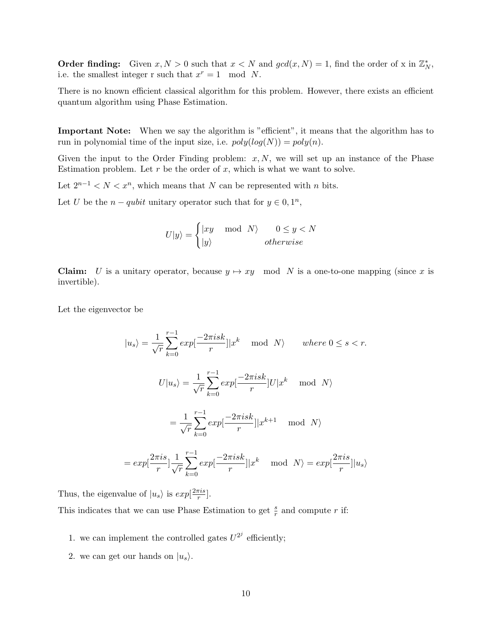**Order finding:** Given  $x, N > 0$  such that  $x < N$  and  $gcd(x, N) = 1$ , find the order of x in  $\mathbb{Z}_N^*$ , i.e. the smallest integer r such that  $x^r = 1 \mod N$ .

There is no known efficient classical algorithm for this problem. However, there exists an efficient quantum algorithm using Phase Estimation.

Important Note: When we say the algorithm is "efficient", it means that the algorithm has to run in polynomial time of the input size, i.e.  $poly(log(N)) = poly(n)$ .

Given the input to the Order Finding problem:  $x, N$ , we will set up an instance of the Phase Estimation problem. Let  $r$  be the order of  $x$ , which is what we want to solve.

Let  $2^{n-1} < N < x^n$ , which means that N can be represented with n bits.

Let U be the  $n - qubit$  unitary operator such that for  $y \in 0, 1^n$ ,

$$
U|y\rangle = \begin{cases} |xy \mod N\rangle & 0 \le y < N \\ |y\rangle & otherwise \end{cases}
$$

**Claim:** U is a unitary operator, because  $y \mapsto xy \mod N$  is a one-to-one mapping (since x is invertible).

Let the eigenvector be

$$
|u_s\rangle = \frac{1}{\sqrt{r}} \sum_{k=0}^{r-1} exp[\frac{-2\pi i sk}{r}] |x^k \mod N\rangle \quad where \ 0 \le s < r.
$$
  

$$
U|u_s\rangle = \frac{1}{\sqrt{r}} \sum_{k=0}^{r-1} exp[\frac{-2\pi i sk}{r}] U|x^k \mod N\rangle
$$

$$
= \frac{1}{\sqrt{r}} \sum_{k=0}^{r-1} exp[\frac{-2\pi i sk}{r}] |x^{k+1} \mod N\rangle
$$

$$
= exp[\frac{2\pi i s}{r}] \frac{1}{\sqrt{r}} \sum_{k=0}^{r-1} exp[\frac{-2\pi i sk}{r}] |x^k \mod N\rangle = exp[\frac{2\pi i s}{r}] |u_s\rangle
$$

Thus, the eigenvalue of  $|u_s\rangle$  is  $exp[\frac{2\pi i s}{r}]$  $\frac{\pi i s}{r}$ .

This indicates that we can use Phase Estimation to get  $\frac{s}{r}$  and compute r if:

- 1. we can implement the controlled gates  $U^{2^j}$  efficiently;
- 2. we can get our hands on  $|u_s\rangle$ .